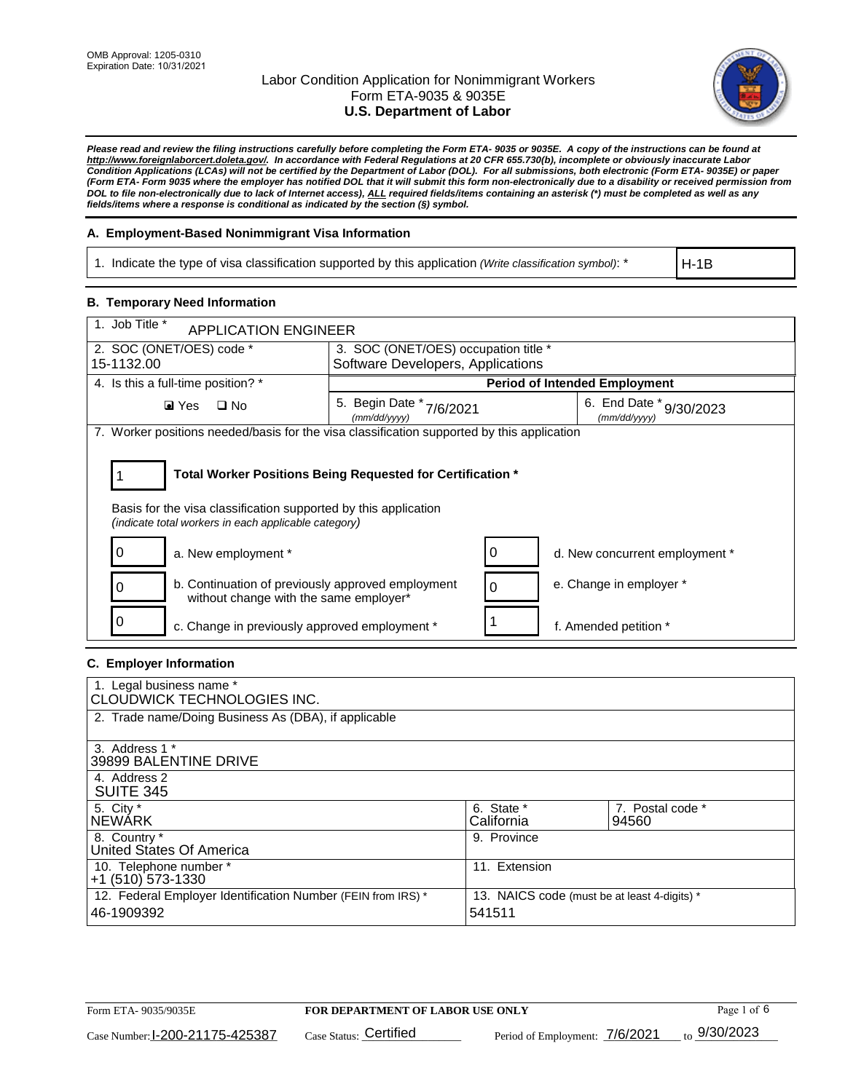

*Please read and review the filing instructions carefully before completing the Form ETA- 9035 or 9035E. A copy of the instructions can be found at [http://www.foreignlaborcert.doleta.gov/.](http://www.foreignlaborcert.doleta.gov/) In accordance with Federal Regulations at 20 CFR 655.730(b), incomplete or obviously inaccurate Labor Condition Applications (LCAs) will not be certified by the Department of Labor (DOL). For all submissions, both electronic (Form ETA- 9035E) or paper (Form ETA- Form 9035 where the employer has notified DOL that it will submit this form non-electronically due to a disability or received permission from DOL to file non-electronically due to lack of Internet access), ALL required fields/items containing an asterisk (\*) must be completed as well as any fields/items where a response is conditional as indicated by the section (§) symbol.* 

### **A. Employment-Based Nonimmigrant Visa Information**

1. Indicate the type of visa classification supported by this application *(Write classification symbol)*: \*

H-1B

### **B. Temporary Need Information**

| 1. Job Title *<br><b>APPLICATION ENGINEER</b>                                                                                                                                         |                                             |                                         |  |
|---------------------------------------------------------------------------------------------------------------------------------------------------------------------------------------|---------------------------------------------|-----------------------------------------|--|
| 2. SOC (ONET/OES) code *                                                                                                                                                              | 3. SOC (ONET/OES) occupation title *        |                                         |  |
| 15-1132.00                                                                                                                                                                            | Software Developers, Applications           |                                         |  |
| 4. Is this a full-time position? *                                                                                                                                                    |                                             | <b>Period of Intended Employment</b>    |  |
| $\blacksquare$ Yes<br>$\Box$ No                                                                                                                                                       | 5. Begin Date *<br>7/6/2021<br>(mm/dd/yyyy) | 6. End Date * 9/30/2023<br>(mm/dd/vvvv) |  |
| 7. Worker positions needed/basis for the visa classification supported by this application                                                                                            |                                             |                                         |  |
| Total Worker Positions Being Requested for Certification *<br>Basis for the visa classification supported by this application<br>(indicate total workers in each applicable category) |                                             |                                         |  |
| a. New employment *<br>O                                                                                                                                                              | Ü                                           | d. New concurrent employment *          |  |
| b. Continuation of previously approved employment<br>without change with the same employer*                                                                                           | 0                                           | e. Change in employer *                 |  |
| c. Change in previously approved employment *                                                                                                                                         |                                             | f. Amended petition *                   |  |

### **C. Employer Information**

| 1. Legal business name *<br>CLOUDWICK TECHNOLOGIES INC.                    |                                                        |                           |
|----------------------------------------------------------------------------|--------------------------------------------------------|---------------------------|
| 2. Trade name/Doing Business As (DBA), if applicable                       |                                                        |                           |
| 3. Address 1 *<br>39899 BALENTINE DRIVE                                    |                                                        |                           |
| 4. Address 2<br><b>SUITE 345</b>                                           |                                                        |                           |
| 5. City *<br><b>NEWARK</b>                                                 | 6. State *<br>California                               | 7. Postal code *<br>94560 |
| 8. Country *<br>United States Of America                                   | 9. Province                                            |                           |
| 10. Telephone number *<br>$+1$ (510) 573-1330                              | 11. Extension                                          |                           |
| 12. Federal Employer Identification Number (FEIN from IRS) *<br>46-1909392 | 13. NAICS code (must be at least 4-digits) *<br>541511 |                           |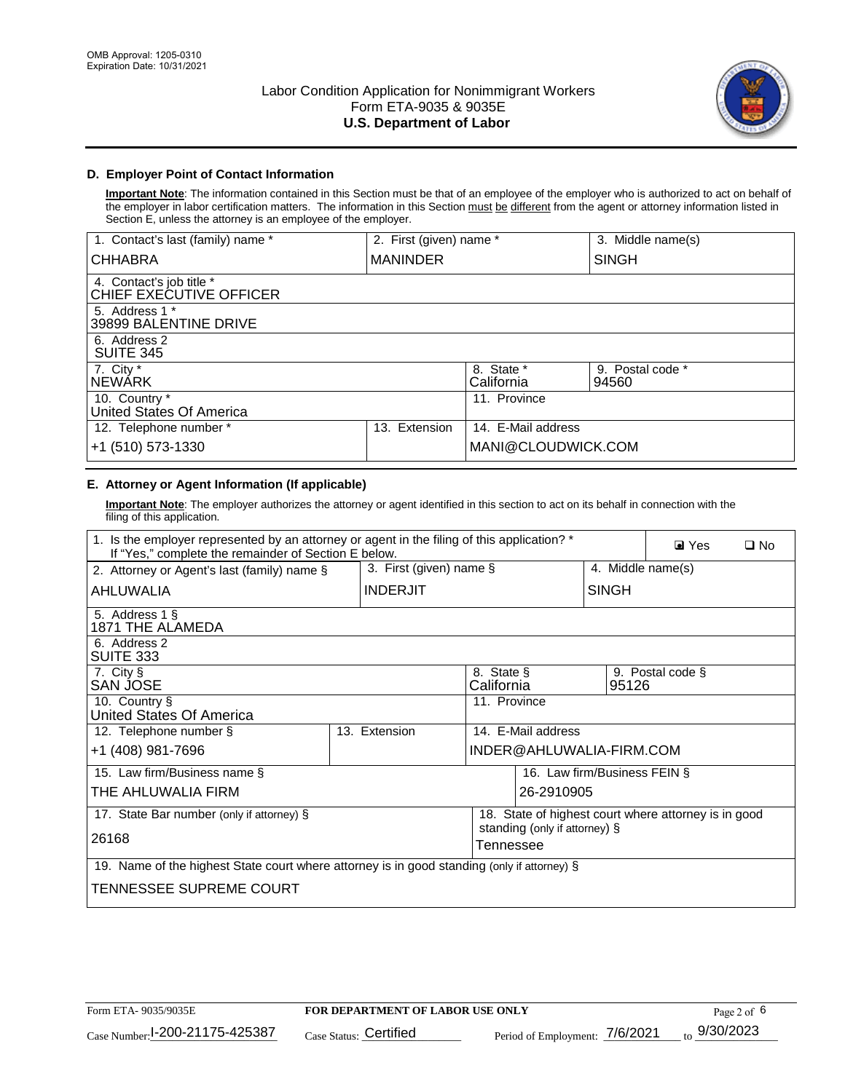

### **D. Employer Point of Contact Information**

**Important Note**: The information contained in this Section must be that of an employee of the employer who is authorized to act on behalf of the employer in labor certification matters. The information in this Section must be different from the agent or attorney information listed in Section E, unless the attorney is an employee of the employer.

| 1. Contact's last (family) name *                   | 2. First (given) name * |                          | 3. Middle name(s)         |
|-----------------------------------------------------|-------------------------|--------------------------|---------------------------|
| <b>CHHABRA</b>                                      | <b>MANINDER</b>         |                          | <b>SINGH</b>              |
| 4. Contact's job title *<br>CHIEF EXECUTIVE OFFICER |                         |                          |                           |
| 5. Address 1 *<br>39899 BALENTINE DRIVE             |                         |                          |                           |
| 6. Address 2<br><b>SUITE 345</b>                    |                         |                          |                           |
| 7. City *<br><b>NEWÁRK</b>                          |                         | 8. State *<br>California | 9. Postal code *<br>94560 |
| 10. Country *<br>United States Of America           |                         | 11. Province             |                           |
| 12. Telephone number *                              | Extension<br>13.        | 14. E-Mail address       |                           |
| +1 (510) 573-1330                                   |                         | MANI@CLOUDWICK.COM       |                           |

## **E. Attorney or Agent Information (If applicable)**

**Important Note**: The employer authorizes the attorney or agent identified in this section to act on its behalf in connection with the filing of this application.

| 1. Is the employer represented by an attorney or agent in the filing of this application? *<br>If "Yes," complete the remainder of Section E below. | $\blacksquare$ Yes<br>$\square$ No |                                            |                              |                                                      |
|-----------------------------------------------------------------------------------------------------------------------------------------------------|------------------------------------|--------------------------------------------|------------------------------|------------------------------------------------------|
| 2. Attorney or Agent's last (family) name §                                                                                                         | 3. First (given) name §            |                                            |                              | 4. Middle name(s)                                    |
| AHLUWALIA                                                                                                                                           | <b>INDERJIT</b>                    |                                            | <b>SINGH</b>                 |                                                      |
| 5. Address 1 §<br>1871 THE ALAMEDA                                                                                                                  |                                    |                                            |                              |                                                      |
| 6. Address 2<br><b>SUITE 333</b>                                                                                                                    |                                    |                                            |                              |                                                      |
| 7. City §<br>SAN JOSE                                                                                                                               |                                    | 8. State §<br>California                   | 95126                        | 9. Postal code §                                     |
| 10. Country §<br><b>United States Of America</b>                                                                                                    |                                    | 11. Province                               |                              |                                                      |
| 12. Telephone number §                                                                                                                              | 13. Extension                      | 14. E-Mail address                         |                              |                                                      |
| +1 (408) 981-7696                                                                                                                                   |                                    |                                            | INDER@AHLUWALIA-FIRM.COM     |                                                      |
| 15. Law firm/Business name §                                                                                                                        |                                    |                                            | 16. Law firm/Business FEIN § |                                                      |
| THE AHLUWALIA FIRM                                                                                                                                  |                                    |                                            | 26-2910905                   |                                                      |
| 17. State Bar number (only if attorney) §                                                                                                           |                                    |                                            |                              | 18. State of highest court where attorney is in good |
| 26168                                                                                                                                               |                                    | standing (only if attorney) §<br>Tennessee |                              |                                                      |
| 19. Name of the highest State court where attorney is in good standing (only if attorney) §                                                         |                                    |                                            |                              |                                                      |
| TENNESSEE SUPREME COURT                                                                                                                             |                                    |                                            |                              |                                                      |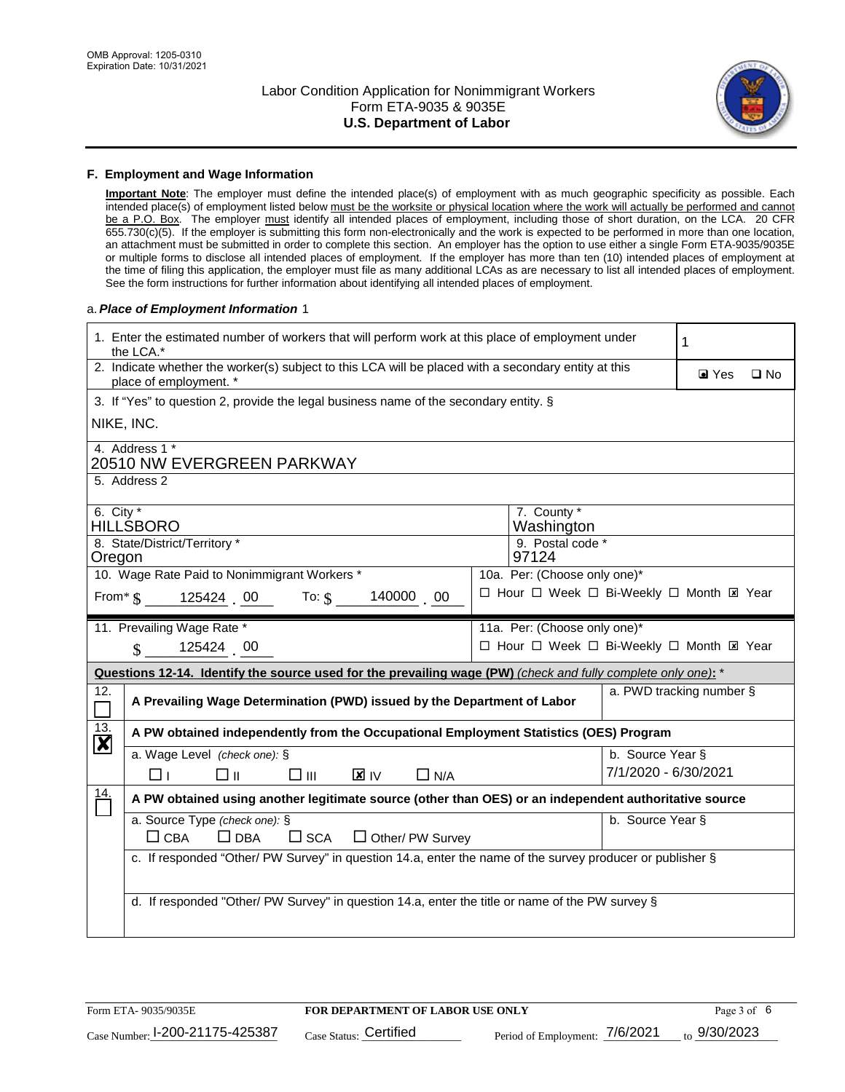

#### **F. Employment and Wage Information**

**Important Note**: The employer must define the intended place(s) of employment with as much geographic specificity as possible. Each intended place(s) of employment listed below must be the worksite or physical location where the work will actually be performed and cannot be a P.O. Box. The employer must identify all intended places of employment, including those of short duration, on the LCA. 20 CFR 655.730(c)(5). If the employer is submitting this form non-electronically and the work is expected to be performed in more than one location, an attachment must be submitted in order to complete this section. An employer has the option to use either a single Form ETA-9035/9035E or multiple forms to disclose all intended places of employment. If the employer has more than ten (10) intended places of employment at the time of filing this application, the employer must file as many additional LCAs as are necessary to list all intended places of employment. See the form instructions for further information about identifying all intended places of employment.

#### a.*Place of Employment Information* 1

| 1. Enter the estimated number of workers that will perform work at this place of employment under<br>the LCA.*                 | 1                                                                                                         |  |  |  |  |
|--------------------------------------------------------------------------------------------------------------------------------|-----------------------------------------------------------------------------------------------------------|--|--|--|--|
| 2. Indicate whether the worker(s) subject to this LCA will be placed with a secondary entity at this<br>place of employment. * | $\blacksquare$ Yes<br>$\square$ No                                                                        |  |  |  |  |
| 3. If "Yes" to question 2, provide the legal business name of the secondary entity. §                                          |                                                                                                           |  |  |  |  |
| NIKE, INC.                                                                                                                     |                                                                                                           |  |  |  |  |
| 4. Address 1 *<br>20510 NW EVERGREEN PARKWAY                                                                                   |                                                                                                           |  |  |  |  |
| 5. Address 2                                                                                                                   |                                                                                                           |  |  |  |  |
| 6. City $*$<br><b>HILLSBORO</b>                                                                                                | 7. County *<br>Washington                                                                                 |  |  |  |  |
| 8. State/District/Territory *<br>Oregon                                                                                        | 9. Postal code *<br>97124                                                                                 |  |  |  |  |
| 10. Wage Rate Paid to Nonimmigrant Workers *                                                                                   | 10a. Per: (Choose only one)*                                                                              |  |  |  |  |
| From $\frac{1}{5}$ 125424 00 To: $\frac{1}{5}$ 140000 0                                                                        | □ Hour □ Week □ Bi-Weekly □ Month ⊠ Year                                                                  |  |  |  |  |
| 11. Prevailing Wage Rate *                                                                                                     | 11a. Per: (Choose only one)*                                                                              |  |  |  |  |
| 125424 00<br>$\mathbf S$                                                                                                       | □ Hour □ Week □ Bi-Weekly □ Month El Year                                                                 |  |  |  |  |
| Questions 12-14. Identify the source used for the prevailing wage (PW) (check and fully complete only one): *                  |                                                                                                           |  |  |  |  |
| 12.                                                                                                                            | a. PWD tracking number §<br>A Prevailing Wage Determination (PWD) issued by the Department of Labor       |  |  |  |  |
| $\frac{13}{12}$<br>A PW obtained independently from the Occupational Employment Statistics (OES) Program                       |                                                                                                           |  |  |  |  |
| a. Wage Level (check one): §                                                                                                   | b. Source Year §                                                                                          |  |  |  |  |
| $\mathbf{X}$ IV<br>□⊪<br>$\square$ $\square$<br>$\Box$ N/A<br>□⊥                                                               | 7/1/2020 - 6/30/2021                                                                                      |  |  |  |  |
| $\frac{14}{1}$                                                                                                                 | A PW obtained using another legitimate source (other than OES) or an independent authoritative source     |  |  |  |  |
| a. Source Type (check one): §<br>b. Source Year §                                                                              |                                                                                                           |  |  |  |  |
|                                                                                                                                | $\Box$ CBA<br>$\Box$ DBA<br>$\square$ SCA<br>$\Box$ Other/ PW Survey                                      |  |  |  |  |
|                                                                                                                                | c. If responded "Other/ PW Survey" in question 14.a, enter the name of the survey producer or publisher § |  |  |  |  |
|                                                                                                                                |                                                                                                           |  |  |  |  |
|                                                                                                                                | d. If responded "Other/ PW Survey" in question 14.a, enter the title or name of the PW survey §           |  |  |  |  |
|                                                                                                                                |                                                                                                           |  |  |  |  |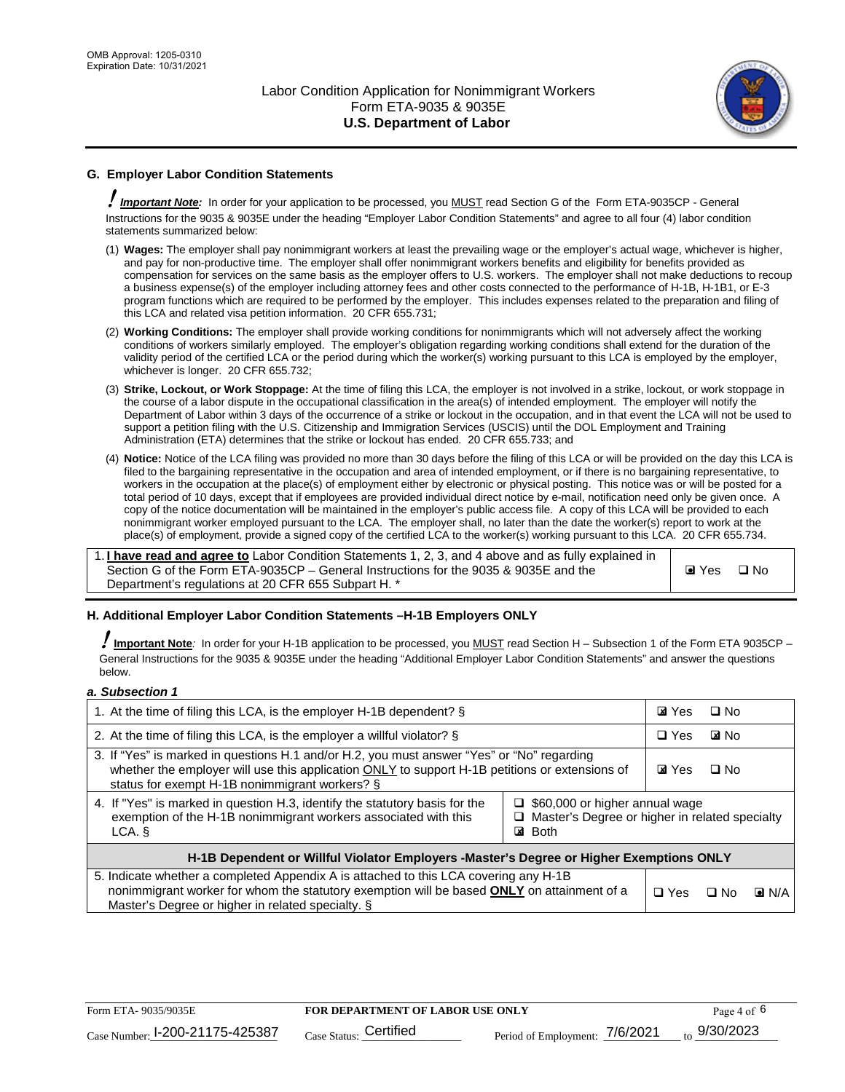

### **G. Employer Labor Condition Statements**

! *Important Note:* In order for your application to be processed, you MUST read Section G of the Form ETA-9035CP - General Instructions for the 9035 & 9035E under the heading "Employer Labor Condition Statements" and agree to all four (4) labor condition statements summarized below:

- (1) **Wages:** The employer shall pay nonimmigrant workers at least the prevailing wage or the employer's actual wage, whichever is higher, and pay for non-productive time. The employer shall offer nonimmigrant workers benefits and eligibility for benefits provided as compensation for services on the same basis as the employer offers to U.S. workers. The employer shall not make deductions to recoup a business expense(s) of the employer including attorney fees and other costs connected to the performance of H-1B, H-1B1, or E-3 program functions which are required to be performed by the employer. This includes expenses related to the preparation and filing of this LCA and related visa petition information. 20 CFR 655.731;
- (2) **Working Conditions:** The employer shall provide working conditions for nonimmigrants which will not adversely affect the working conditions of workers similarly employed. The employer's obligation regarding working conditions shall extend for the duration of the validity period of the certified LCA or the period during which the worker(s) working pursuant to this LCA is employed by the employer, whichever is longer. 20 CFR 655.732;
- (3) **Strike, Lockout, or Work Stoppage:** At the time of filing this LCA, the employer is not involved in a strike, lockout, or work stoppage in the course of a labor dispute in the occupational classification in the area(s) of intended employment. The employer will notify the Department of Labor within 3 days of the occurrence of a strike or lockout in the occupation, and in that event the LCA will not be used to support a petition filing with the U.S. Citizenship and Immigration Services (USCIS) until the DOL Employment and Training Administration (ETA) determines that the strike or lockout has ended. 20 CFR 655.733; and
- (4) **Notice:** Notice of the LCA filing was provided no more than 30 days before the filing of this LCA or will be provided on the day this LCA is filed to the bargaining representative in the occupation and area of intended employment, or if there is no bargaining representative, to workers in the occupation at the place(s) of employment either by electronic or physical posting. This notice was or will be posted for a total period of 10 days, except that if employees are provided individual direct notice by e-mail, notification need only be given once. A copy of the notice documentation will be maintained in the employer's public access file. A copy of this LCA will be provided to each nonimmigrant worker employed pursuant to the LCA. The employer shall, no later than the date the worker(s) report to work at the place(s) of employment, provide a signed copy of the certified LCA to the worker(s) working pursuant to this LCA. 20 CFR 655.734.

1. **I have read and agree to** Labor Condition Statements 1, 2, 3, and 4 above and as fully explained in Section G of the Form ETA-9035CP – General Instructions for the 9035 & 9035E and the Department's regulations at 20 CFR 655 Subpart H. \*

**O** Yes **D** No

### **H. Additional Employer Labor Condition Statements –H-1B Employers ONLY**

!**Important Note***:* In order for your H-1B application to be processed, you MUST read Section H – Subsection 1 of the Form ETA 9035CP – General Instructions for the 9035 & 9035E under the heading "Additional Employer Labor Condition Statements" and answer the questions below.

#### *a. Subsection 1*

| 1. At the time of filing this LCA, is the employer H-1B dependent? §                                                                                                                                                                                                   |  | <b>ZI</b> Yes  | □ No         |                    |
|------------------------------------------------------------------------------------------------------------------------------------------------------------------------------------------------------------------------------------------------------------------------|--|----------------|--------------|--------------------|
| 2. At the time of filing this LCA, is the employer a willful violator? $\S$                                                                                                                                                                                            |  | $\Box$ Yes     | <b>E</b> INo |                    |
| 3. If "Yes" is marked in questions H.1 and/or H.2, you must answer "Yes" or "No" regarding<br>whether the employer will use this application ONLY to support H-1B petitions or extensions of<br>status for exempt H-1B nonimmigrant workers? §                         |  | <b>Z</b> I Yes | $\Box$ No    |                    |
| 4. If "Yes" is marked in question H.3, identify the statutory basis for the<br>$\Box$ \$60,000 or higher annual wage<br>exemption of the H-1B nonimmigrant workers associated with this<br>□ Master's Degree or higher in related specialty<br><b>⊠</b> Both<br>LCA. § |  |                |              |                    |
| H-1B Dependent or Willful Violator Employers -Master's Degree or Higher Exemptions ONLY                                                                                                                                                                                |  |                |              |                    |
| 5. Indicate whether a completed Appendix A is attached to this LCA covering any H-1B<br>nonimmigrant worker for whom the statutory exemption will be based <b>ONLY</b> on attainment of a<br>Master's Degree or higher in related specialty. §                         |  | $\Box$ Yes     | ⊡ No         | $\blacksquare$ N/A |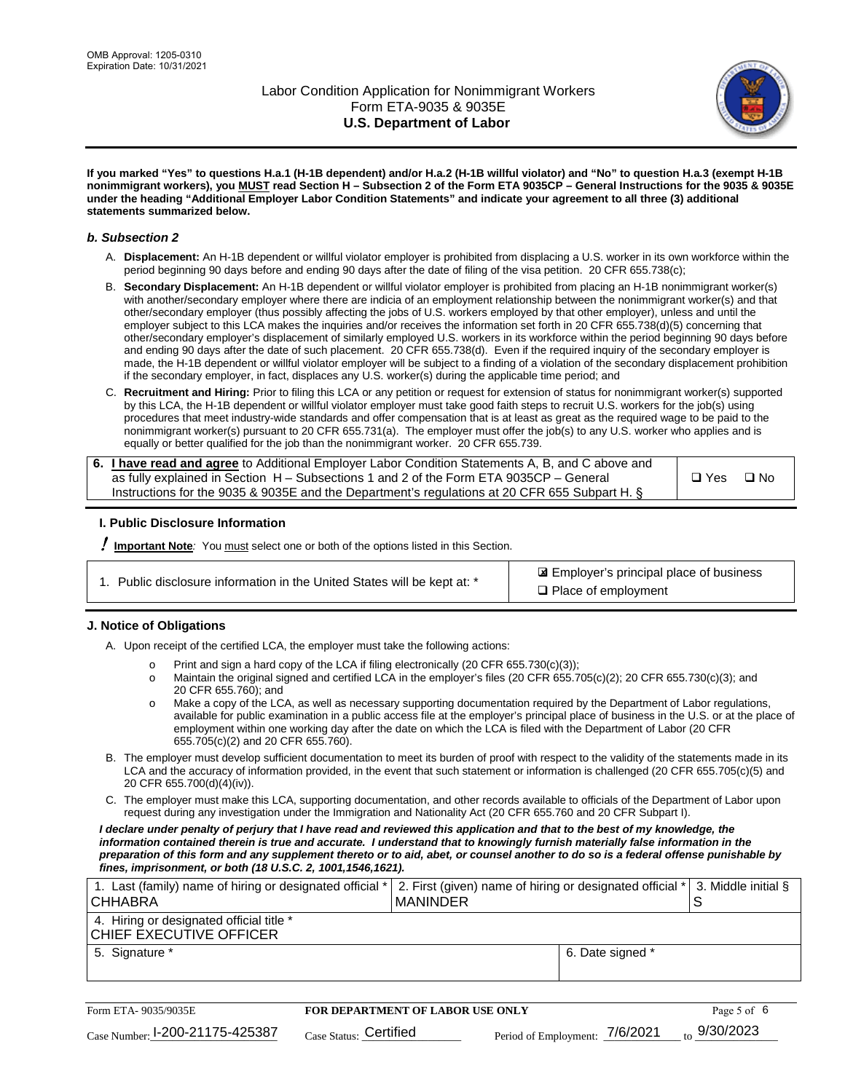

**If you marked "Yes" to questions H.a.1 (H-1B dependent) and/or H.a.2 (H-1B willful violator) and "No" to question H.a.3 (exempt H-1B nonimmigrant workers), you MUST read Section H – Subsection 2 of the Form ETA 9035CP – General Instructions for the 9035 & 9035E under the heading "Additional Employer Labor Condition Statements" and indicate your agreement to all three (3) additional statements summarized below.**

#### *b. Subsection 2*

- A. **Displacement:** An H-1B dependent or willful violator employer is prohibited from displacing a U.S. worker in its own workforce within the period beginning 90 days before and ending 90 days after the date of filing of the visa petition. 20 CFR 655.738(c);
- B. **Secondary Displacement:** An H-1B dependent or willful violator employer is prohibited from placing an H-1B nonimmigrant worker(s) with another/secondary employer where there are indicia of an employment relationship between the nonimmigrant worker(s) and that other/secondary employer (thus possibly affecting the jobs of U.S. workers employed by that other employer), unless and until the employer subject to this LCA makes the inquiries and/or receives the information set forth in 20 CFR 655.738(d)(5) concerning that other/secondary employer's displacement of similarly employed U.S. workers in its workforce within the period beginning 90 days before and ending 90 days after the date of such placement. 20 CFR 655.738(d). Even if the required inquiry of the secondary employer is made, the H-1B dependent or willful violator employer will be subject to a finding of a violation of the secondary displacement prohibition if the secondary employer, in fact, displaces any U.S. worker(s) during the applicable time period; and
- C. **Recruitment and Hiring:** Prior to filing this LCA or any petition or request for extension of status for nonimmigrant worker(s) supported by this LCA, the H-1B dependent or willful violator employer must take good faith steps to recruit U.S. workers for the job(s) using procedures that meet industry-wide standards and offer compensation that is at least as great as the required wage to be paid to the nonimmigrant worker(s) pursuant to 20 CFR 655.731(a). The employer must offer the job(s) to any U.S. worker who applies and is equally or better qualified for the job than the nonimmigrant worker. 20 CFR 655.739.

| 6. I have read and agree to Additional Employer Labor Condition Statements A, B, and C above and |       |      |
|--------------------------------------------------------------------------------------------------|-------|------|
| as fully explained in Section $H -$ Subsections 1 and 2 of the Form ETA 9035CP $-$ General       | □ Yes | ⊡ No |
| Instructions for the 9035 & 9035E and the Department's regulations at 20 CFR 655 Subpart H. §    |       |      |

### **I. Public Disclosure Information**

! **Important Note***:* You must select one or both of the options listed in this Section.

| 1. Public disclosure information in the United States will be kept at: * |  |
|--------------------------------------------------------------------------|--|
|                                                                          |  |

 Employer's principal place of business ✘ □ Place of employment

### **J. Notice of Obligations**

A. Upon receipt of the certified LCA, the employer must take the following actions:

- o Print and sign a hard copy of the LCA if filing electronically (20 CFR 655.730(c)(3));<br>
Maintain the original signed and certified LCA in the employer's files (20 CFR 655.7
- Maintain the original signed and certified LCA in the employer's files (20 CFR 655.705(c)(2); 20 CFR 655.730(c)(3); and 20 CFR 655.760); and
- o Make a copy of the LCA, as well as necessary supporting documentation required by the Department of Labor regulations, available for public examination in a public access file at the employer's principal place of business in the U.S. or at the place of employment within one working day after the date on which the LCA is filed with the Department of Labor (20 CFR 655.705(c)(2) and 20 CFR 655.760).
- B. The employer must develop sufficient documentation to meet its burden of proof with respect to the validity of the statements made in its LCA and the accuracy of information provided, in the event that such statement or information is challenged (20 CFR 655.705(c)(5) and 20 CFR 655.700(d)(4)(iv)).
- C. The employer must make this LCA, supporting documentation, and other records available to officials of the Department of Labor upon request during any investigation under the Immigration and Nationality Act (20 CFR 655.760 and 20 CFR Subpart I).

*I declare under penalty of perjury that I have read and reviewed this application and that to the best of my knowledge, the*  information contained therein is true and accurate. I understand that to knowingly furnish materially false information in the *preparation of this form and any supplement thereto or to aid, abet, or counsel another to do so is a federal offense punishable by fines, imprisonment, or both (18 U.S.C. 2, 1001,1546,1621).*

| 1. Last (family) name of hiring or designated official *<br>I CHHABRA | 2. First (given) name of hiring or designated official *<br><b>MANINDER</b> |                  | 3. Middle initial § |
|-----------------------------------------------------------------------|-----------------------------------------------------------------------------|------------------|---------------------|
| 4. Hiring or designated official title *<br>CHIEF EXECUTIVE OFFICER   |                                                                             |                  |                     |
| 5. Signature *                                                        |                                                                             | 6. Date signed * |                     |

| Form ETA-9035/9035E             | <b>FOR DEPARTMENT OF LABOR USE ONLY</b> |                                | Page 5 of 6              |
|---------------------------------|-----------------------------------------|--------------------------------|--------------------------|
| Case Number: 1-200-21175-425387 | $_{\text{Case Status:}}$ Certified      | Period of Employment: 7/6/2021 | $_{\text{to}}$ 9/30/2023 |